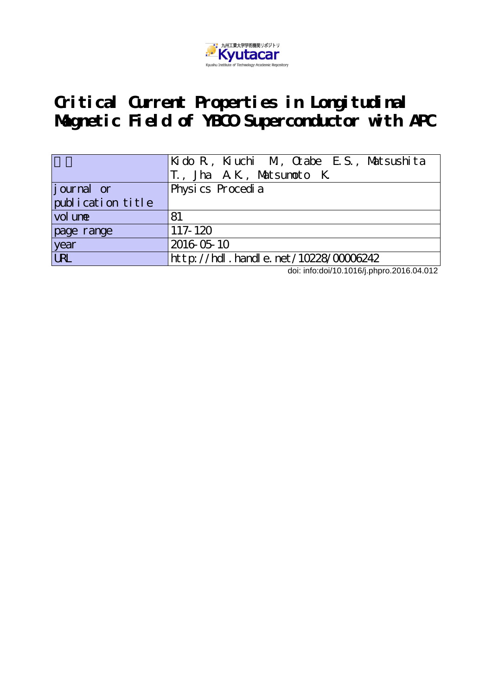

# **Critical Current Properties in Longitudinal Magnetic Field of YBCO Superconductor with APC**

|                   | Kido R, Kiuchi M, Otabe E.S., Matsushita<br>T., Jha A.K., Matsumoto K. |  |  |  |
|-------------------|------------------------------------------------------------------------|--|--|--|
| journal or        | Physics Procedia                                                       |  |  |  |
| publication title |                                                                        |  |  |  |
| vol une           | 81                                                                     |  |  |  |
| page range        | $117 - 120$                                                            |  |  |  |
| year<br>URL       | 2016 05 10                                                             |  |  |  |
|                   | $http://hdl. handle. net/10228/00006242$                               |  |  |  |

doi: info:doi/10.1016/j.phpro.2016.04.012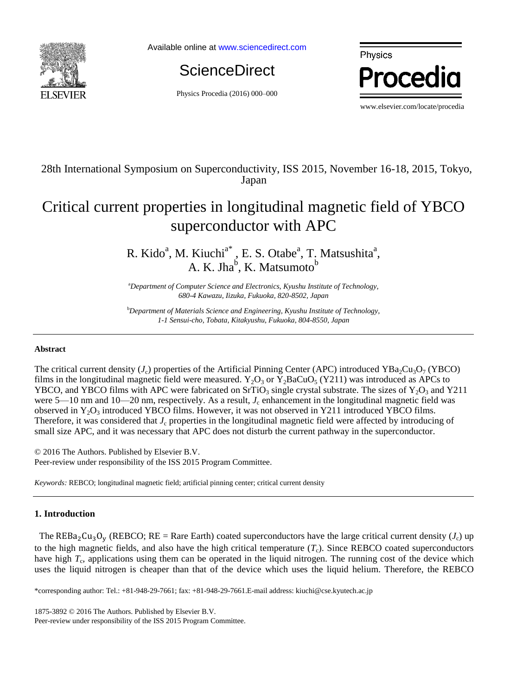

Available online at [www.sciencedirect.com](http://www.sciencedirect.com/science/journal/22107843)

**ScienceDirect** 

Physics Procedia (2016) 000–000



### 28th International Symposium on Superconductivity, ISS 2015, November 16-18, 2015, Tokyo, Japan

## Critical current properties in longitudinal magnetic field of YBCO superconductor with APC

R. Kido<sup>a</sup>, M. Kiuchi<sup>a\*</sup>, E. S. Otabe<sup>a</sup>, T. Matsushita<sup>a</sup>, A. K. Jha<sup>b</sup>, K. Matsumoto<sup>b</sup>

<sup>a</sup>*Department of Computer Science and Electronics, Kyushu Institute of Technology, 680-4 Kawazu, Iizuka, Fukuoka, 820-8502, Japan*

<sup>b</sup>*Department of Materials Science and Engineering, Kyushu Institute of Technology, 1-1 Sensui-cho, Tobata, Kitakyushu, Fukuoka, 804-8550, Japan*

#### **Abstract**

The critical current density ( $J_c$ ) properties of the Artificial Pinning Center (APC) introduced YBa<sub>2</sub>Cu<sub>3</sub>O<sub>7</sub> (YBCO) films in the longitudinal magnetic field were measured.  $Y_2O_3$  or  $Y_2BaCuO_5$  (Y211) was introduced as APCs to YBCO, and YBCO films with APC were fabricated on SrTiO<sub>3</sub> single crystal substrate. The sizes of  $Y_2O_3$  and Y211 were 5—10 nm and 10—20 nm, respectively. As a result,  $J_c$  enhancement in the longitudinal magnetic field was observed in  $Y_2O_3$  introduced YBCO films. However, it was not observed in Y211 introduced YBCO films. Therefore, it was considered that  $J_c$  properties in the longitudinal magnetic field were affected by introducing of small size APC, and it was necessary that APC does not disturb the current pathway in the superconductor.

© 2016 The Authors. Published by Elsevier B.V. Peer-review under responsibility of the ISS 2015 Program Committee.

*Keywords:* REBCO; longitudinal magnetic field; artificial pinning center; critical current density

#### **1. Introduction**

The REBa<sub>2</sub>Cu<sub>3</sub>O<sub>y</sub> (REBCO; RE = Rare Earth) coated superconductors have the large critical current density ( $J_c$ ) up to the high magnetic fields, and also have the high critical temperature  $(T_c)$ . Since REBCO coated superconductors have high  $T_c$ , applications using them can be operated in the liquid nitrogen. The running cost of the device which uses the liquid nitrogen is cheaper than that of the device which uses the liquid helium. Therefore, the REBCO

\*corresponding author: Tel.: +81-948-29-7661; fax: +81-948-29-7661.E-mail address: kiuchi@cse.kyutech.ac.jp

1875-3892 © 2016 The Authors. Published by Elsevier B.V.

Peer-review under responsibility of the ISS 2015 Program Committee.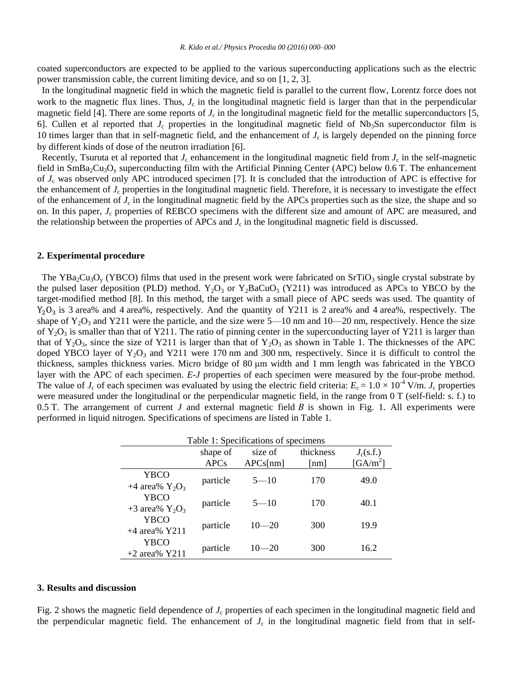coated superconductors are expected to be applied to the various superconducting applications such as the electric power transmission cable, the current limiting device, and so on [1, 2, 3].

In the longitudinal magnetic field in which the magnetic field is parallel to the current flow, Lorentz force does not work to the magnetic flux lines. Thus,  $J_c$  in the longitudinal magnetic field is larger than that in the perpendicular magnetic field [4]. There are some reports of  $J_c$  in the longitudinal magnetic field for the metallic superconductors [5, 6]. Cullen et al reported that  $J_c$  properties in the longitudinal magnetic field of Nb<sub>3</sub>Sn superconductor film is 10 times larger than that in self-magnetic field, and the enhancement of  $J_c$  is largely depended on the pinning force by different kinds of dose of the neutron irradiation [6].

Recently, Tsuruta et al reported that  $J_c$  enhancement in the longitudinal magnetic field from  $J_c$  in the self-magnetic field in  $SmBa<sub>2</sub>Cu<sub>3</sub>O<sub>v</sub>$  superconducting film with the Artificial Pinning Center (APC) below 0.6 T. The enhancement of  $J_c$  was observed only APC introduced specimen [7]. It is concluded that the introduction of APC is effective for the enhancement of  $J_c$  properties in the longitudinal magnetic field. Therefore, it is necessary to investigate the effect of the enhancement of  $J_c$  in the longitudinal magnetic field by the APCs properties such as the size, the shape and so on. In this paper, *J*<sup>c</sup> properties of REBCO specimens with the different size and amount of APC are measured, and the relationship between the properties of APCs and  $J_c$  in the longitudinal magnetic field is discussed.

#### **2. Experimental procedure**

The YBa<sub>2</sub>Cu<sub>3</sub>O<sub>y</sub> (YBCO) films that used in the present work were fabricated on SrTiO<sub>3</sub> single crystal substrate by the pulsed laser deposition (PLD) method.  $Y_2O_3$  or  $Y_2BaCuO_5$  (Y211) was introduced as APCs to YBCO by the target-modified method [8]. In this method, the target with a small piece of APC seeds was used. The quantity of  $Y_2O_3$  is 3 area% and 4 area%, respectively. And the quantity of Y211 is 2 area% and 4 area%, respectively. The shape of  $Y_2O_3$  and Y211 were the particle, and the size were 5—10 nm and 10—20 nm, respectively. Hence the size of  $Y_2O_3$  is smaller than that of Y211. The ratio of pinning center in the superconducting layer of Y211 is larger than that of Y<sub>2</sub>O<sub>3</sub>, since the size of Y211 is larger than that of Y<sub>2</sub>O<sub>3</sub> as shown in Table 1. The thicknesses of the APC doped YBCO layer of  $Y_2O_3$  and Y211 were 170 nm and 300 nm, respectively. Since it is difficult to control the thickness, samples thickness varies. Micro bridge of 80 μm width and 1 mm length was fabricated in the YBCO layer with the APC of each specimen. *E*-*J* properties of each specimen were measured by the four-probe method. The value of  $J_c$  of each specimen was evaluated by using the electric field criteria:  $E_c = 1.0 \times 10^{-4}$  V/m.  $J_c$  properties were measured under the longitudinal or the perpendicular magnetic field, in the range from 0 T (self-field: s. f.) to 0.5 T. The arrangement of current  $J$  and external magnetic field  $B$  is shown in Fig. 1. All experiments were performed in liquid nitrogen. Specifications of specimens are listed in Table 1.

| Table 1: Specifications of specimens |             |           |                    |                       |  |
|--------------------------------------|-------------|-----------|--------------------|-----------------------|--|
|                                      | shape of    | size of   | thickness          | $J_c(s.f.)$           |  |
|                                      | <b>APCs</b> | APCs[nm]  | $\lceil nm \rceil$ | $\left[GA/m^2\right]$ |  |
| YBCO<br>+4 area% $Y_2O_3$            | particle    | $5 - 10$  | 170                | 49.0                  |  |
| YBCO<br>$+3$ area% $Y_2O_3$          | particle    | $5 - 10$  | 170                | 40.1                  |  |
| <b>YBCO</b><br>$+4$ area% Y211       | particle    | $10 - 20$ | 300                | 19.9                  |  |
| YBCO<br>$+2$ area% Y211              | particle    | $10 - 20$ | 300                | 16.2                  |  |

#### **3. Results and discussion**

Fig. 2 shows the magnetic field dependence of *J<sub>c</sub>* properties of each specimen in the longitudinal magnetic field and the perpendicular magnetic field. The enhancement of  $J_c$  in the longitudinal magnetic field from that in self-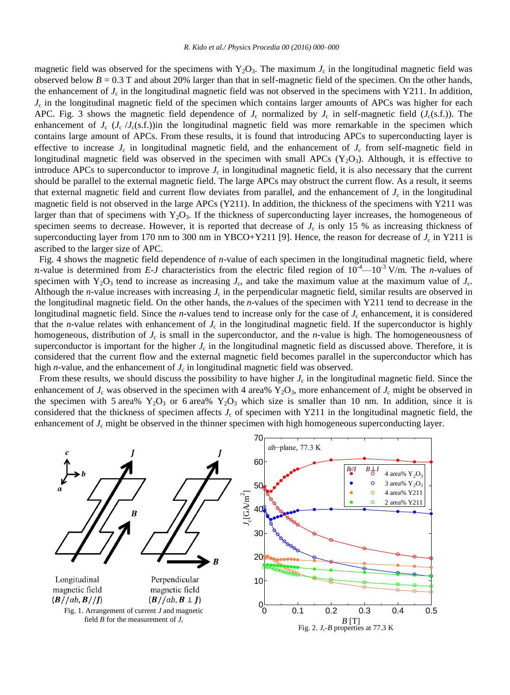magnetic field was observed for the specimens with  $Y_2O_3$ . The maximum  $J_c$  in the longitudinal magnetic field was observed below  $B = 0.3$  T and about 20% larger than that in self-magnetic field of the specimen. On the other hands, the enhancement of  $J_c$  in the longitudinal magnetic field was not observed in the specimens with Y211. In addition, *J*c in the longitudinal magnetic field of the specimen which contains larger amounts of APCs was higher for each APC. Fig. 3 shows the magnetic field dependence of  $J_c$  normalized by  $J_c$  in self-magnetic field ( $J_c(s.f.)$ ). The enhancement of  $J_c$  ( $J_c$  / $J_c$ (s.f.))in the longitudinal magnetic field was more remarkable in the specimen which contains large amount of APCs. From these results, it is found that introducing APCs to superconducting layer is effective to increase  $J_c$  in longitudinal magnetic field, and the enhancement of  $J_c$  from self-magnetic field in longitudinal magnetic field was observed in the specimen with small APCs  $(Y_2O_3)$ . Although, it is effective to introduce APCs to superconductor to improve  $J_c$  in longitudinal magnetic field, it is also necessary that the current should be parallel to the external magnetic field. The large APCs may obstruct the current flow. As a result, it seems that external magnetic field and current flow deviates from parallel, and the enhancement of  $J_c$  in the longitudinal magnetic field is not observed in the large APCs (Y211). In addition, the thickness of the specimens with Y211 was larger than that of specimens with  $Y_2O_3$ . If the thickness of superconducting layer increases, the homogeneous of specimen seems to decrease. However, it is reported that decrease of  $J_c$  is only 15 % as increasing thickness of superconducting layer from 170 nm to 300 nm in YBCO+Y211 [9]. Hence, the reason for decrease of  $J_c$  in Y211 is ascribed to the larger size of APC.

Fig. 4 shows the magnetic field dependence of *n*-value of each specimen in the longitudinal magnetic field, where *n*-value is determined from *E-J* characteristics from the electric filed region of  $10^4 - 10^{-3}$  V/m. The *n*-values of specimen with  $Y_2O_3$  tend to increase as increasing  $J_c$ , and take the maximum value at the maximum value of  $J_c$ . Although the *n*-value increases with increasing  $J_c$  in the perpendicular magnetic field, similar results are observed in the longitudinal magnetic field. On the other hands, the *n*-values of the specimen with Y211 tend to decrease in the longitudinal magnetic field. Since the *n*-values tend to increase only for the case of  $J_c$  enhancement, it is considered that the *n*-value relates with enhancement of  $J_c$  in the longitudinal magnetic field. If the superconductor is highly homogeneous, distribution of  $J_c$  is small in the superconductor, and the *n*-value is high. The homogeneousness of superconductor is important for the higher  $J_c$  in the longitudinal magnetic field as discussed above. Therefore, it is considered that the current flow and the external magnetic field becomes parallel in the superconductor which has high  $n$ -value, and the enhancement of  $J_c$  in longitudinal magnetic field was observed.

From these results, we should discuss the possibility to have higher  $J_c$  in the longitudinal magnetic field. Since the enhancement of  $J_c$  was observed in the specimen with 4 area%  $Y_2O_3$ , more enhancement of  $J_c$  might be observed in the specimen with 5 area%  $Y_2O_3$  or 6 area%  $Y_2O_3$  which size is smaller than 10 nm. In addition, since it is considered that the thickness of specimen affects *J*<sup>c</sup> of specimen with Y211 in the longitudinal magnetic field, the enhancement of *J<sub>c</sub>* might be observed in the thinner specimen with high homogeneous superconducting layer.